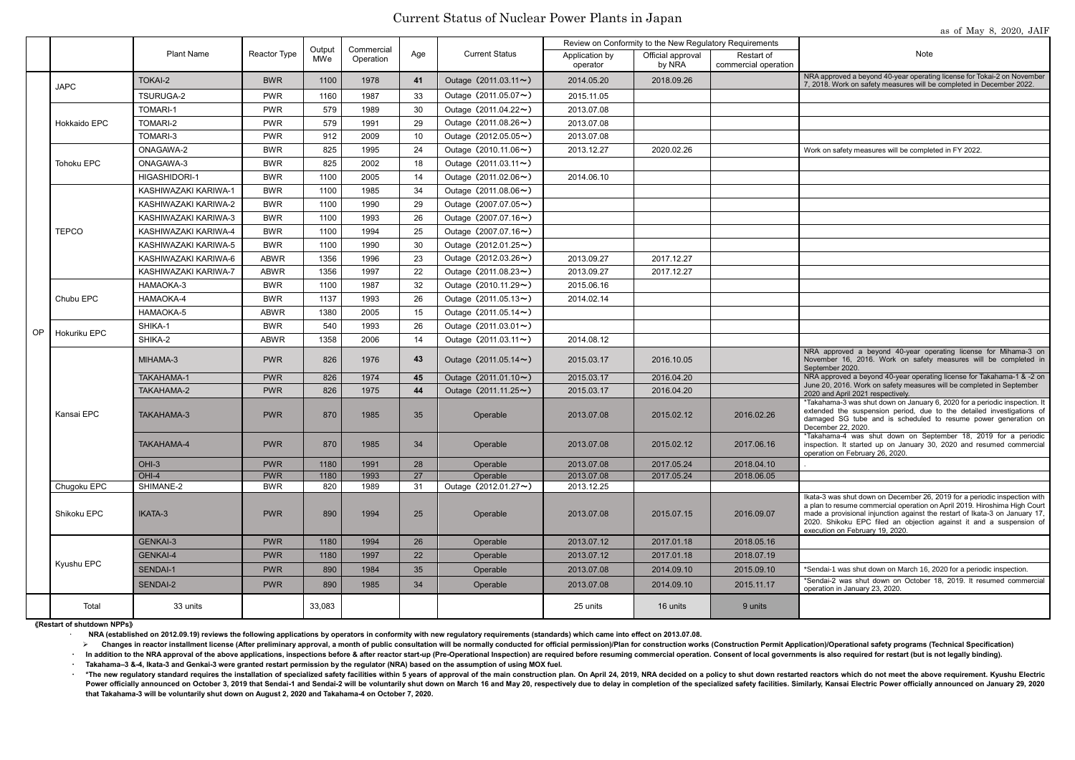## Current Status of Nuclear Power Plants in Japan

as of May 8, 2020, JAIF

| Note                                                                                                                                                                                                                                        |
|---------------------------------------------------------------------------------------------------------------------------------------------------------------------------------------------------------------------------------------------|
| NRA approved a beyond 40-year operating license for Tokai-2 on November<br>7, 2018. Work on safety measures will be completed in December 2022.                                                                                             |
|                                                                                                                                                                                                                                             |
|                                                                                                                                                                                                                                             |
|                                                                                                                                                                                                                                             |
|                                                                                                                                                                                                                                             |
| Work on safety measures will be completed in FY 2022.                                                                                                                                                                                       |
|                                                                                                                                                                                                                                             |
|                                                                                                                                                                                                                                             |
|                                                                                                                                                                                                                                             |
|                                                                                                                                                                                                                                             |
|                                                                                                                                                                                                                                             |
|                                                                                                                                                                                                                                             |
|                                                                                                                                                                                                                                             |
|                                                                                                                                                                                                                                             |
|                                                                                                                                                                                                                                             |
|                                                                                                                                                                                                                                             |
|                                                                                                                                                                                                                                             |
|                                                                                                                                                                                                                                             |
|                                                                                                                                                                                                                                             |
|                                                                                                                                                                                                                                             |
| NRA approved a beyond 40-year operating license for Mihama-3 on<br>November 16, 2016. Work on safety measures will be completed in<br>September 2020.                                                                                       |
| NRA approved a beyond 40-year operating license for Takahama-1 & -2 on<br>June 20, 2016. Work on safety measures will be completed in September<br>2020 and April 2021 respectively.                                                        |
| *Takahama-3 was shut down on January 6, 2020 for a periodic inspection. It<br>extended the suspension period, due to the detailed investigations of<br>damaged SG tube and is scheduled to resume power generation on<br>December 22, 2020. |
| *Takahama-4 was shut down on September 18, 2019 for a periodic                                                                                                                                                                              |

|    |                            |                      |                          | Output     | Commercial   |          |                                               | Review on Conformity to the New Regulatory Requirements |                             |                                    |                                                                                                                                                                                                                                                                                                                                                 |  |
|----|----------------------------|----------------------|--------------------------|------------|--------------|----------|-----------------------------------------------|---------------------------------------------------------|-----------------------------|------------------------------------|-------------------------------------------------------------------------------------------------------------------------------------------------------------------------------------------------------------------------------------------------------------------------------------------------------------------------------------------------|--|
|    |                            | <b>Plant Name</b>    | Reactor Type             | MWe        | Operation    | Age      | <b>Current Status</b>                         | Application by<br>operator                              | Official approval<br>by NRA | Restart of<br>commercial operation | Note                                                                                                                                                                                                                                                                                                                                            |  |
|    | <b>JAPC</b>                | <b>TOKAI-2</b>       | <b>BWR</b>               | 1100       | 1978         | 41       | Outage $(2011.03.11 \rightarrow)$             | 2014.05.20                                              | 2018.09.26                  |                                    | NRA approved a beyond 40-year operating license for Tokai-2 on November<br>7, 2018. Work on safety measures will be completed in December 2022.                                                                                                                                                                                                 |  |
|    |                            | TSURUGA-2            | <b>PWR</b>               | 1160       | 1987         | 33       | Outage $(2011.05.07 \rightarrow)$             | 2015.11.05                                              |                             |                                    |                                                                                                                                                                                                                                                                                                                                                 |  |
|    |                            | <b>TOMARI-1</b>      | <b>PWR</b>               | 579        | 1989         | 30       | Outage $(2011.04.22 \rightarrow)$             | 2013.07.08                                              |                             |                                    |                                                                                                                                                                                                                                                                                                                                                 |  |
|    | <b>Hokkaido EPC</b>        | TOMARI-2             | <b>PWR</b>               | 579        | 1991         | 29       | Outage $(2011.08.26 \rightarrow)$             | 2013.07.08                                              |                             |                                    |                                                                                                                                                                                                                                                                                                                                                 |  |
|    |                            | TOMARI-3             | <b>PWR</b>               | 912        | 2009         | 10       | Outage $(2012.05.05 \rightarrow)$             | 2013.07.08                                              |                             |                                    |                                                                                                                                                                                                                                                                                                                                                 |  |
|    | Tohoku EPC                 | <b>ONAGAWA-2</b>     | <b>BWR</b>               | 825        | 1995         | 24       | Outage $(2010.11.06 \rightarrow)$             | 2013.12.27                                              | 2020.02.26                  |                                    | Work on safety measures will be completed in FY 2022.                                                                                                                                                                                                                                                                                           |  |
|    |                            | ONAGAWA-3            | <b>BWR</b>               | 825        | 2002         | 18       | Outage $(2011.03.11 \rightarrow)$             |                                                         |                             |                                    |                                                                                                                                                                                                                                                                                                                                                 |  |
|    |                            | HIGASHIDORI-1        | <b>BWR</b>               | 1100       | 2005         | 14       | Outage $(2011.02.06 \rightarrow)$             | 2014.06.10                                              |                             |                                    |                                                                                                                                                                                                                                                                                                                                                 |  |
|    |                            | KASHIWAZAKI KARIWA-1 | <b>BWR</b>               | 1100       | 1985         | 34       | Outage $(2011.08.06 \rightarrow)$             |                                                         |                             |                                    |                                                                                                                                                                                                                                                                                                                                                 |  |
|    |                            | KASHIWAZAKI KARIWA-2 | <b>BWR</b>               | 1100       | 1990         | 29       | Outage $(2007.07.05 \rightarrow)$             |                                                         |                             |                                    |                                                                                                                                                                                                                                                                                                                                                 |  |
|    |                            | KASHIWAZAKI KARIWA-3 | <b>BWR</b>               | 1100       | 1993         | 26       | Outage (2007.07.16~)                          |                                                         |                             |                                    |                                                                                                                                                                                                                                                                                                                                                 |  |
|    | <b>TEPCO</b>               | KASHIWAZAKI KARIWA-4 | <b>BWR</b>               | 1100       | 1994         | 25       | Outage $(2007.07.16 \rightarrow)$             |                                                         |                             |                                    |                                                                                                                                                                                                                                                                                                                                                 |  |
|    |                            | KASHIWAZAKI KARIWA-5 | <b>BWR</b>               | 1100       | 1990         | 30       | Outage $(2012.01.25 \rightarrow)$             |                                                         |                             |                                    |                                                                                                                                                                                                                                                                                                                                                 |  |
|    |                            | KASHIWAZAKI KARIWA-6 | <b>ABWR</b>              | 1356       | 1996         | 23       | Outage $(2012.03.26 \rightarrow)$             | 2013.09.27                                              | 2017.12.27                  |                                    |                                                                                                                                                                                                                                                                                                                                                 |  |
|    |                            | KASHIWAZAKI KARIWA-7 | <b>ABWR</b>              | 1356       | 1997         | 22       | Outage $(2011.08.23 \rightarrow)$             | 2013.09.27                                              | 2017.12.27                  |                                    |                                                                                                                                                                                                                                                                                                                                                 |  |
|    | Chubu EPC                  | HAMAOKA-3            | <b>BWR</b>               | 1100       | 1987         | 32       | Outage $(2010.11.29 \rightarrow)$             | 2015.06.16                                              |                             |                                    |                                                                                                                                                                                                                                                                                                                                                 |  |
|    |                            | HAMAOKA-4            | <b>BWR</b>               | 1137       | 1993         | 26       | Outage $(2011.05.13 \rightarrow)$             | 2014.02.14                                              |                             |                                    |                                                                                                                                                                                                                                                                                                                                                 |  |
|    |                            | HAMAOKA-5            | <b>ABWR</b>              | 1380       | 2005         | 15       | Outage $(2011.05.14 \sim)$                    |                                                         |                             |                                    |                                                                                                                                                                                                                                                                                                                                                 |  |
|    | Hokuriku EPC               | SHIKA-1              | <b>BWR</b>               | 540        | 1993         | 26       | Outage $(2011.03.01 \rightarrow)$             |                                                         |                             |                                    |                                                                                                                                                                                                                                                                                                                                                 |  |
| OP |                            | SHIKA-2              | <b>ABWR</b>              | 1358       | 2006         | 14       | Outage $(2011.03.11 \rightarrow)$             | 2014.08.12                                              |                             |                                    |                                                                                                                                                                                                                                                                                                                                                 |  |
|    | Kansai EPC                 | MIHAMA-3             | <b>PWR</b>               | 826        | 1976         | 43       | Outage $(2011.05.14 \sim)$                    | 2015.03.17                                              | 2016.10.05                  |                                    | NRA approved a beyond 40-year operating license for Mihama-3 on<br>November 16, 2016. Work on safety measures will be completed in<br>September 2020.                                                                                                                                                                                           |  |
|    |                            | <b>TAKAHAMA-1</b>    | <b>PWR</b>               | 826        | 1974         | 45       | Outage (2011.01.10~)                          | 2015.03.17                                              | 2016.04.20                  |                                    | NRA approved a beyond 40-year operating license for Takahama-1 & -2 on<br>June 20, 2016. Work on safety measures will be completed in September                                                                                                                                                                                                 |  |
|    |                            | TAKAHAMA-2           | <b>PWR</b>               | 826        | 1975         | 44       | Outage $(2011.11.25 \rightarrow)$             | 2015.03.17                                              | 2016.04.20                  |                                    | 2020 and April 2021 respectively.                                                                                                                                                                                                                                                                                                               |  |
|    |                            | <b>TAKAHAMA-3</b>    | <b>PWR</b>               | 870        | 1985         | 35       | Operable                                      | 2013.07.08                                              | 2015.02.12                  | 2016.02.26                         | *Takahama-3 was shut down on January 6, 2020 for a periodic inspection. It<br>extended the suspension period, due to the detailed investigations of<br>damaged SG tube and is scheduled to resume power generation on<br>December 22, 2020.                                                                                                     |  |
|    |                            | TAKAHAMA-4           | <b>PWR</b>               | 870        | 1985         | 34       | Operable                                      | 2013.07.08                                              | 2015.02.12                  | 2017.06.16                         | *Takahama-4 was shut down on September 18, 2019 for a periodic<br>inspection. It started up on January 30, 2020 and resumed commercial<br>operation on February 26, 2020.                                                                                                                                                                       |  |
|    |                            | $OHI-3$              | <b>PWR</b>               | 1180       | 1991         | 28       | Operable                                      | 2013.07.08                                              | 2017.05.24                  | 2018.04.10                         |                                                                                                                                                                                                                                                                                                                                                 |  |
|    |                            | $OHI-4$              | <b>PWR</b>               | 1180       | 1993         | 27       | Operable                                      | 2013.07.08                                              | 2017.05.24                  | 2018.06.05                         |                                                                                                                                                                                                                                                                                                                                                 |  |
|    | Chugoku EPC<br>Shikoku EPC | SHIMANE-2<br>IKATA-3 | <b>BWR</b><br><b>PWR</b> | 820<br>890 | 1989<br>1994 | 31<br>25 | Outage $(2012.01.27 \rightarrow)$<br>Operable | 2013.12.25<br>2013.07.08                                | 2015.07.15                  | 2016.09.07                         | Ikata-3 was shut down on December 26, 2019 for a periodic inspection with<br>a plan to resume commercial operation on April 2019. Hiroshima High Court<br>made a provisional injunction against the restart of Ikata-3 on January 17,<br>2020. Shikoku EPC filed an objection against it and a suspension of<br>execution on February 19, 2020. |  |
|    | Kyushu EPC                 | <b>GENKAI-3</b>      | <b>PWR</b>               | 1180       | 1994         | 26       | Operable                                      | 2013.07.12                                              | 2017.01.18                  | 2018.05.16                         |                                                                                                                                                                                                                                                                                                                                                 |  |
|    |                            | <b>GENKAI-4</b>      | <b>PWR</b>               | 1180       | 1997         | 22       | Operable                                      | 2013.07.12                                              | 2017.01.18                  | 2018.07.19                         |                                                                                                                                                                                                                                                                                                                                                 |  |
|    |                            | SENDAI-1             | <b>PWR</b>               | 890        | 1984         | 35       | Operable                                      | 2013.07.08                                              | 2014.09.10                  | 2015.09.10                         | *Sendai-1 was shut down on March 16, 2020 for a periodic inspection.                                                                                                                                                                                                                                                                            |  |
|    |                            | SENDAI-2             | <b>PWR</b>               | 890        | 1985         | 34       | Operable                                      | 2013.07.08                                              | 2014.09.10                  | 2015.11.17                         | *Sendai-2 was shut down on October 18, 2019. It resumed commercial<br>operation in January 23, 2020.                                                                                                                                                                                                                                            |  |
|    | Total                      | 33 units             |                          | 33,083     |              |          |                                               | 25 units                                                | 16 units                    | 9 units                            |                                                                                                                                                                                                                                                                                                                                                 |  |

\*The new regulatory standard requires the installation of specialized safety facilities within 5 years of approval of the main construction plan. On April 24, 2019, NRA decided on a policy to shut down restarted reactors w Power officially announced on October 3, 2019 that Sendai-1 and Sendai-2 will be voluntarily shut down on March 16 and May 20, respectively due to delay in completion of the specialized safety facilities. Similarly, Kansai **that Takahama-3 will be voluntarily shut down on August 2, 2020 and Takahama-4 on October 7, 2020.**

《**Restart of shutdown NPPs**》

**NRA (established on 2012.09.19) reviews the following applications by operators in conformity with new regulatory requirements (standards) which came into effect on 2013.07.08.** 

> Changes in reactor installment license (After preliminary approval, a month of public consultation will be normally conducted for official permission)/Plan for construction works (Construction Permit Application)/Operati · In addition to the NRA approval of the above applications, inspections before & after reactor start-up (Pre-Operational Inspection) are required before resuming commercial operation. Consent of local governments is also

・ **Takahama–3 &-4, Ikata-3 and Genkai-3 were granted restart permission by the regulator (NRA) based on the assumption of using MOX fuel.**